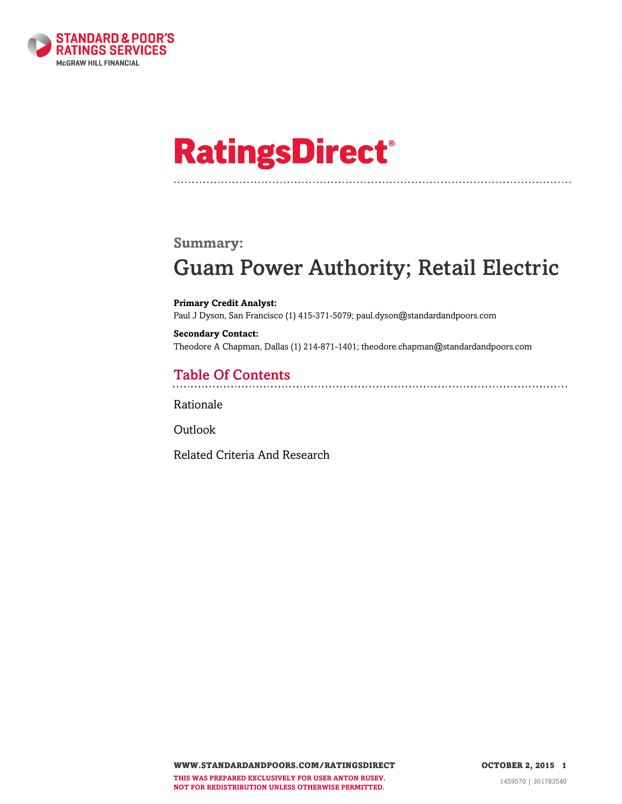

# **RatingsDirect®**

#### **Summary:**

# Guam Power Authority; Retail Electric

**Primary Credit Analyst:** Paul J Dyson, San Francisco (1) 415-371-5079; paul.dyson@standardandpoors.com

**Secondary Contact:** Theodore A Chapman, Dallas (1) 214-871-1401; theodore.chapman@standardandpoors.com

### Table Of Contents

[Rationale](#page-1-0)

[Outlook](#page-5-0)

[Related Criteria And Research](#page-6-0)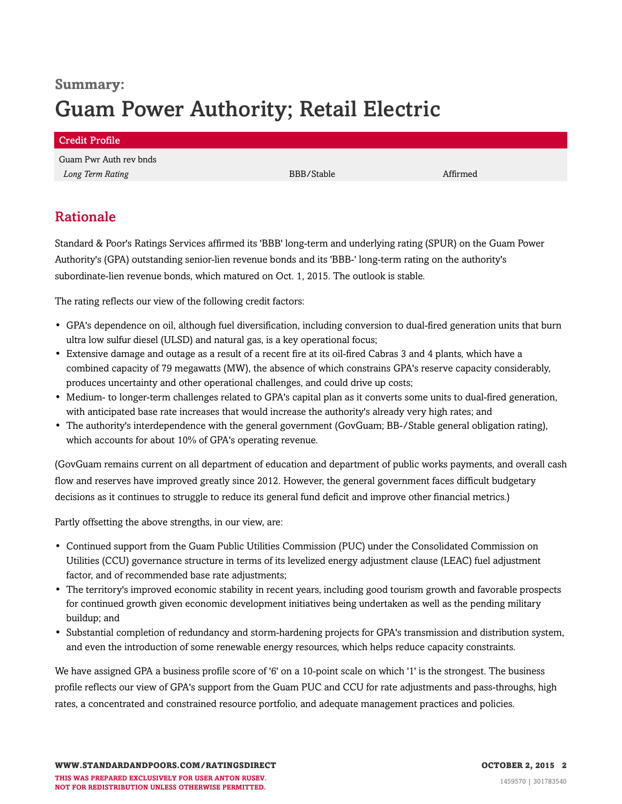## **Summary:** Guam Power Authority; Retail Electric

| Credit Profile         |            |          |  |
|------------------------|------------|----------|--|
| Guam Pwr Auth rev bnds |            |          |  |
| Long Term Rating       | BBB/Stable | Affirmed |  |

### <span id="page-1-0"></span>Rationale

Standard & Poor's Ratings Services affirmed its 'BBB' long-term and underlying rating (SPUR) on the Guam Power Authority's (GPA) outstanding senior-lien revenue bonds and its 'BBB-' long-term rating on the authority's subordinate-lien revenue bonds, which matured on Oct. 1, 2015. The outlook is stable.

The rating reflects our view of the following credit factors:

- GPA's dependence on oil, although fuel diversification, including conversion to dual-fired generation units that burn ultra low sulfur diesel (ULSD) and natural gas, is a key operational focus;
- Extensive damage and outage as a result of a recent fire at its oil-fired Cabras 3 and 4 plants, which have a combined capacity of 79 megawatts (MW), the absence of which constrains GPA's reserve capacity considerably, produces uncertainty and other operational challenges, and could drive up costs;
- Medium- to longer-term challenges related to GPA's capital plan as it converts some units to dual-fired generation, with anticipated base rate increases that would increase the authority's already very high rates; and
- The authority's interdependence with the general government (GovGuam; BB-/Stable general obligation rating), which accounts for about 10% of GPA's operating revenue.

(GovGuam remains current on all department of education and department of public works payments, and overall cash flow and reserves have improved greatly since 2012. However, the general government faces difficult budgetary decisions as it continues to struggle to reduce its general fund deficit and improve other financial metrics.)

Partly offsetting the above strengths, in our view, are:

- Continued support from the Guam Public Utilities Commission (PUC) under the Consolidated Commission on Utilities (CCU) governance structure in terms of its levelized energy adjustment clause (LEAC) fuel adjustment factor, and of recommended base rate adjustments;
- The territory's improved economic stability in recent years, including good tourism growth and favorable prospects for continued growth given economic development initiatives being undertaken as well as the pending military buildup; and
- Substantial completion of redundancy and storm-hardening projects for GPA's transmission and distribution system, and even the introduction of some renewable energy resources, which helps reduce capacity constraints.

We have assigned GPA a business profile score of '6' on a 10-point scale on which '1' is the strongest. The business profile reflects our view of GPA's support from the Guam PUC and CCU for rate adjustments and pass-throughs, high rates, a concentrated and constrained resource portfolio, and adequate management practices and policies.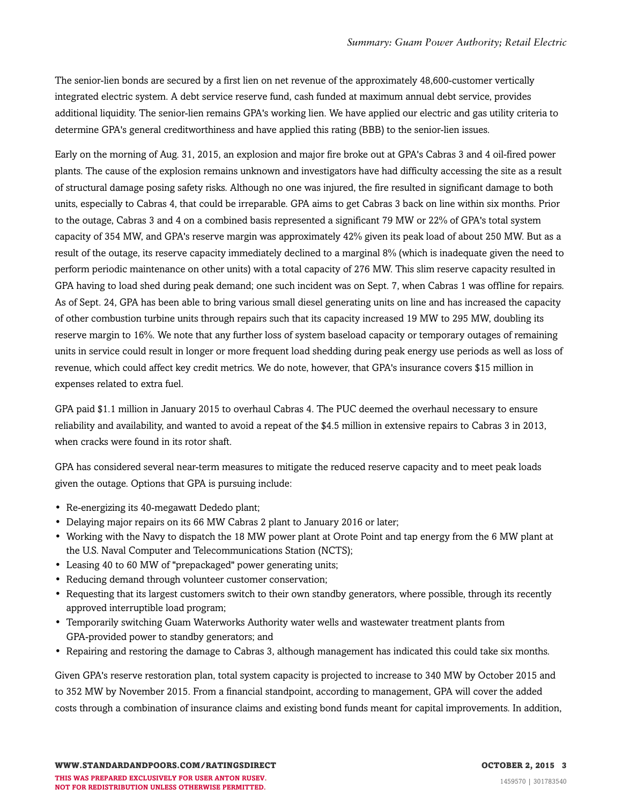The senior-lien bonds are secured by a first lien on net revenue of the approximately 48,600-customer vertically integrated electric system. A debt service reserve fund, cash funded at maximum annual debt service, provides additional liquidity. The senior-lien remains GPA's working lien. We have applied our electric and gas utility criteria to determine GPA's general creditworthiness and have applied this rating (BBB) to the senior-lien issues.

Early on the morning of Aug. 31, 2015, an explosion and major fire broke out at GPA's Cabras 3 and 4 oil-fired power plants. The cause of the explosion remains unknown and investigators have had difficulty accessing the site as a result of structural damage posing safety risks. Although no one was injured, the fire resulted in significant damage to both units, especially to Cabras 4, that could be irreparable. GPA aims to get Cabras 3 back on line within six months. Prior to the outage, Cabras 3 and 4 on a combined basis represented a significant 79 MW or 22% of GPA's total system capacity of 354 MW, and GPA's reserve margin was approximately 42% given its peak load of about 250 MW. But as a result of the outage, its reserve capacity immediately declined to a marginal 8% (which is inadequate given the need to perform periodic maintenance on other units) with a total capacity of 276 MW. This slim reserve capacity resulted in GPA having to load shed during peak demand; one such incident was on Sept. 7, when Cabras 1 was offline for repairs. As of Sept. 24, GPA has been able to bring various small diesel generating units on line and has increased the capacity of other combustion turbine units through repairs such that its capacity increased 19 MW to 295 MW, doubling its reserve margin to 16%. We note that any further loss of system baseload capacity or temporary outages of remaining units in service could result in longer or more frequent load shedding during peak energy use periods as well as loss of revenue, which could affect key credit metrics. We do note, however, that GPA's insurance covers \$15 million in expenses related to extra fuel.

GPA paid \$1.1 million in January 2015 to overhaul Cabras 4. The PUC deemed the overhaul necessary to ensure reliability and availability, and wanted to avoid a repeat of the \$4.5 million in extensive repairs to Cabras 3 in 2013, when cracks were found in its rotor shaft.

GPA has considered several near-term measures to mitigate the reduced reserve capacity and to meet peak loads given the outage. Options that GPA is pursuing include:

- Re-energizing its 40-megawatt Dededo plant;
- Delaying major repairs on its 66 MW Cabras 2 plant to January 2016 or later;
- Working with the Navy to dispatch the 18 MW power plant at Orote Point and tap energy from the 6 MW plant at the U.S. Naval Computer and Telecommunications Station (NCTS);
- Leasing 40 to 60 MW of "prepackaged" power generating units;
- Reducing demand through volunteer customer conservation;
- Requesting that its largest customers switch to their own standby generators, where possible, through its recently approved interruptible load program;
- Temporarily switching Guam Waterworks Authority water wells and wastewater treatment plants from GPA-provided power to standby generators; and
- Repairing and restoring the damage to Cabras 3, although management has indicated this could take six months.

Given GPA's reserve restoration plan, total system capacity is projected to increase to 340 MW by October 2015 and to 352 MW by November 2015. From a financial standpoint, according to management, GPA will cover the added costs through a combination of insurance claims and existing bond funds meant for capital improvements. In addition,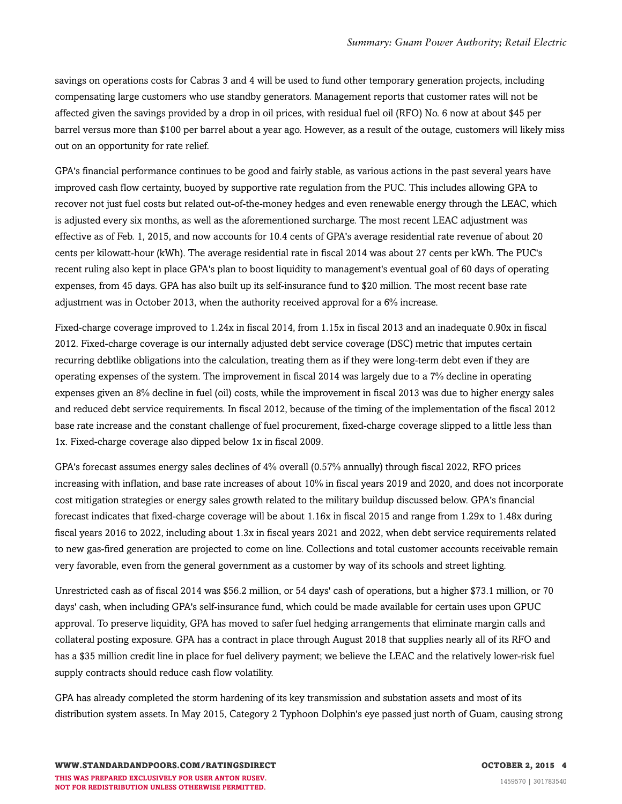savings on operations costs for Cabras 3 and 4 will be used to fund other temporary generation projects, including compensating large customers who use standby generators. Management reports that customer rates will not be affected given the savings provided by a drop in oil prices, with residual fuel oil (RFO) No. 6 now at about \$45 per barrel versus more than \$100 per barrel about a year ago. However, as a result of the outage, customers will likely miss out on an opportunity for rate relief.

GPA's financial performance continues to be good and fairly stable, as various actions in the past several years have improved cash flow certainty, buoyed by supportive rate regulation from the PUC. This includes allowing GPA to recover not just fuel costs but related out-of-the-money hedges and even renewable energy through the LEAC, which is adjusted every six months, as well as the aforementioned surcharge. The most recent LEAC adjustment was effective as of Feb. 1, 2015, and now accounts for 10.4 cents of GPA's average residential rate revenue of about 20 cents per kilowatt-hour (kWh). The average residential rate in fiscal 2014 was about 27 cents per kWh. The PUC's recent ruling also kept in place GPA's plan to boost liquidity to management's eventual goal of 60 days of operating expenses, from 45 days. GPA has also built up its self-insurance fund to \$20 million. The most recent base rate adjustment was in October 2013, when the authority received approval for a 6% increase.

Fixed-charge coverage improved to 1.24x in fiscal 2014, from 1.15x in fiscal 2013 and an inadequate 0.90x in fiscal 2012. Fixed-charge coverage is our internally adjusted debt service coverage (DSC) metric that imputes certain recurring debtlike obligations into the calculation, treating them as if they were long-term debt even if they are operating expenses of the system. The improvement in fiscal 2014 was largely due to a 7% decline in operating expenses given an 8% decline in fuel (oil) costs, while the improvement in fiscal 2013 was due to higher energy sales and reduced debt service requirements. In fiscal 2012, because of the timing of the implementation of the fiscal 2012 base rate increase and the constant challenge of fuel procurement, fixed-charge coverage slipped to a little less than 1x. Fixed-charge coverage also dipped below 1x in fiscal 2009.

GPA's forecast assumes energy sales declines of 4% overall (0.57% annually) through fiscal 2022, RFO prices increasing with inflation, and base rate increases of about 10% in fiscal years 2019 and 2020, and does not incorporate cost mitigation strategies or energy sales growth related to the military buildup discussed below. GPA's financial forecast indicates that fixed-charge coverage will be about 1.16x in fiscal 2015 and range from 1.29x to 1.48x during fiscal years 2016 to 2022, including about 1.3x in fiscal years 2021 and 2022, when debt service requirements related to new gas-fired generation are projected to come on line. Collections and total customer accounts receivable remain very favorable, even from the general government as a customer by way of its schools and street lighting.

Unrestricted cash as of fiscal 2014 was \$56.2 million, or 54 days' cash of operations, but a higher \$73.1 million, or 70 days' cash, when including GPA's self-insurance fund, which could be made available for certain uses upon GPUC approval. To preserve liquidity, GPA has moved to safer fuel hedging arrangements that eliminate margin calls and collateral posting exposure. GPA has a contract in place through August 2018 that supplies nearly all of its RFO and has a \$35 million credit line in place for fuel delivery payment; we believe the LEAC and the relatively lower-risk fuel supply contracts should reduce cash flow volatility.

GPA has already completed the storm hardening of its key transmission and substation assets and most of its distribution system assets. In May 2015, Category 2 Typhoon Dolphin's eye passed just north of Guam, causing strong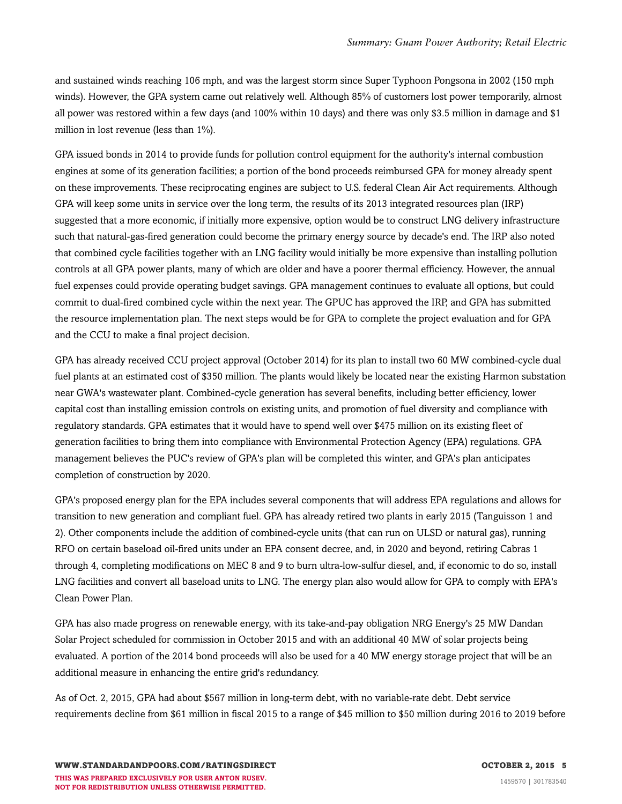and sustained winds reaching 106 mph, and was the largest storm since Super Typhoon Pongsona in 2002 (150 mph winds). However, the GPA system came out relatively well. Although 85% of customers lost power temporarily, almost all power was restored within a few days (and 100% within 10 days) and there was only \$3.5 million in damage and \$1 million in lost revenue (less than 1%).

GPA issued bonds in 2014 to provide funds for pollution control equipment for the authority's internal combustion engines at some of its generation facilities; a portion of the bond proceeds reimbursed GPA for money already spent on these improvements. These reciprocating engines are subject to U.S. federal Clean Air Act requirements. Although GPA will keep some units in service over the long term, the results of its 2013 integrated resources plan (IRP) suggested that a more economic, if initially more expensive, option would be to construct LNG delivery infrastructure such that natural-gas-fired generation could become the primary energy source by decade's end. The IRP also noted that combined cycle facilities together with an LNG facility would initially be more expensive than installing pollution controls at all GPA power plants, many of which are older and have a poorer thermal efficiency. However, the annual fuel expenses could provide operating budget savings. GPA management continues to evaluate all options, but could commit to dual-fired combined cycle within the next year. The GPUC has approved the IRP, and GPA has submitted the resource implementation plan. The next steps would be for GPA to complete the project evaluation and for GPA and the CCU to make a final project decision.

GPA has already received CCU project approval (October 2014) for its plan to install two 60 MW combined-cycle dual fuel plants at an estimated cost of \$350 million. The plants would likely be located near the existing Harmon substation near GWA's wastewater plant. Combined-cycle generation has several benefits, including better efficiency, lower capital cost than installing emission controls on existing units, and promotion of fuel diversity and compliance with regulatory standards. GPA estimates that it would have to spend well over \$475 million on its existing fleet of generation facilities to bring them into compliance with Environmental Protection Agency (EPA) regulations. GPA management believes the PUC's review of GPA's plan will be completed this winter, and GPA's plan anticipates completion of construction by 2020.

GPA's proposed energy plan for the EPA includes several components that will address EPA regulations and allows for transition to new generation and compliant fuel. GPA has already retired two plants in early 2015 (Tanguisson 1 and 2). Other components include the addition of combined-cycle units (that can run on ULSD or natural gas), running RFO on certain baseload oil-fired units under an EPA consent decree, and, in 2020 and beyond, retiring Cabras 1 through 4, completing modifications on MEC 8 and 9 to burn ultra-low-sulfur diesel, and, if economic to do so, install LNG facilities and convert all baseload units to LNG. The energy plan also would allow for GPA to comply with EPA's Clean Power Plan.

GPA has also made progress on renewable energy, with its take-and-pay obligation NRG Energy's 25 MW Dandan Solar Project scheduled for commission in October 2015 and with an additional 40 MW of solar projects being evaluated. A portion of the 2014 bond proceeds will also be used for a 40 MW energy storage project that will be an additional measure in enhancing the entire grid's redundancy.

As of Oct. 2, 2015, GPA had about \$567 million in long-term debt, with no variable-rate debt. Debt service requirements decline from \$61 million in fiscal 2015 to a range of \$45 million to \$50 million during 2016 to 2019 before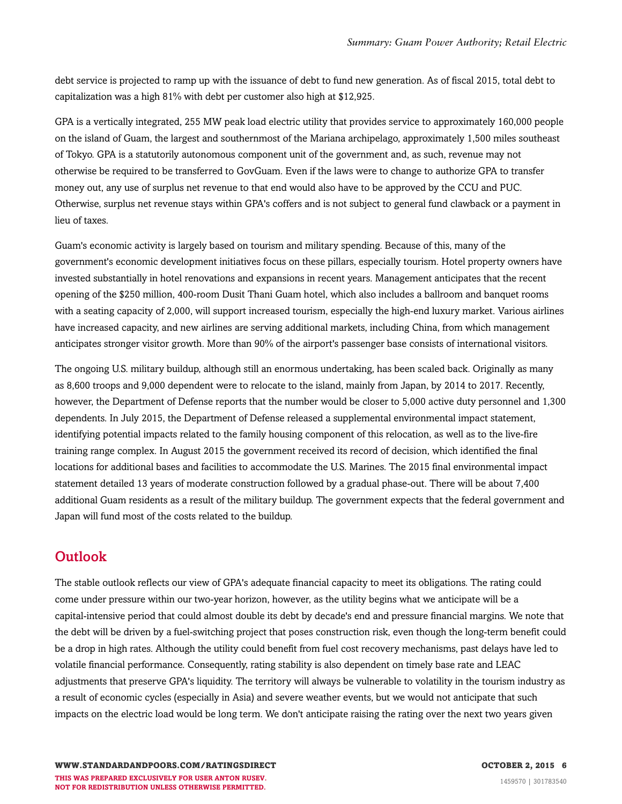debt service is projected to ramp up with the issuance of debt to fund new generation. As of fiscal 2015, total debt to capitalization was a high 81% with debt per customer also high at \$12,925.

GPA is a vertically integrated, 255 MW peak load electric utility that provides service to approximately 160,000 people on the island of Guam, the largest and southernmost of the Mariana archipelago, approximately 1,500 miles southeast of Tokyo. GPA is a statutorily autonomous component unit of the government and, as such, revenue may not otherwise be required to be transferred to GovGuam. Even if the laws were to change to authorize GPA to transfer money out, any use of surplus net revenue to that end would also have to be approved by the CCU and PUC. Otherwise, surplus net revenue stays within GPA's coffers and is not subject to general fund clawback or a payment in lieu of taxes.

Guam's economic activity is largely based on tourism and military spending. Because of this, many of the government's economic development initiatives focus on these pillars, especially tourism. Hotel property owners have invested substantially in hotel renovations and expansions in recent years. Management anticipates that the recent opening of the \$250 million, 400-room Dusit Thani Guam hotel, which also includes a ballroom and banquet rooms with a seating capacity of 2,000, will support increased tourism, especially the high-end luxury market. Various airlines have increased capacity, and new airlines are serving additional markets, including China, from which management anticipates stronger visitor growth. More than 90% of the airport's passenger base consists of international visitors.

The ongoing U.S. military buildup, although still an enormous undertaking, has been scaled back. Originally as many as 8,600 troops and 9,000 dependent were to relocate to the island, mainly from Japan, by 2014 to 2017. Recently, however, the Department of Defense reports that the number would be closer to 5,000 active duty personnel and 1,300 dependents. In July 2015, the Department of Defense released a supplemental environmental impact statement, identifying potential impacts related to the family housing component of this relocation, as well as to the live-fire training range complex. In August 2015 the government received its record of decision, which identified the final locations for additional bases and facilities to accommodate the U.S. Marines. The 2015 final environmental impact statement detailed 13 years of moderate construction followed by a gradual phase-out. There will be about 7,400 additional Guam residents as a result of the military buildup. The government expects that the federal government and Japan will fund most of the costs related to the buildup.

### <span id="page-5-0"></span>**Outlook**

The stable outlook reflects our view of GPA's adequate financial capacity to meet its obligations. The rating could come under pressure within our two-year horizon, however, as the utility begins what we anticipate will be a capital-intensive period that could almost double its debt by decade's end and pressure financial margins. We note that the debt will be driven by a fuel-switching project that poses construction risk, even though the long-term benefit could be a drop in high rates. Although the utility could benefit from fuel cost recovery mechanisms, past delays have led to volatile financial performance. Consequently, rating stability is also dependent on timely base rate and LEAC adjustments that preserve GPA's liquidity. The territory will always be vulnerable to volatility in the tourism industry as a result of economic cycles (especially in Asia) and severe weather events, but we would not anticipate that such impacts on the electric load would be long term. We don't anticipate raising the rating over the next two years given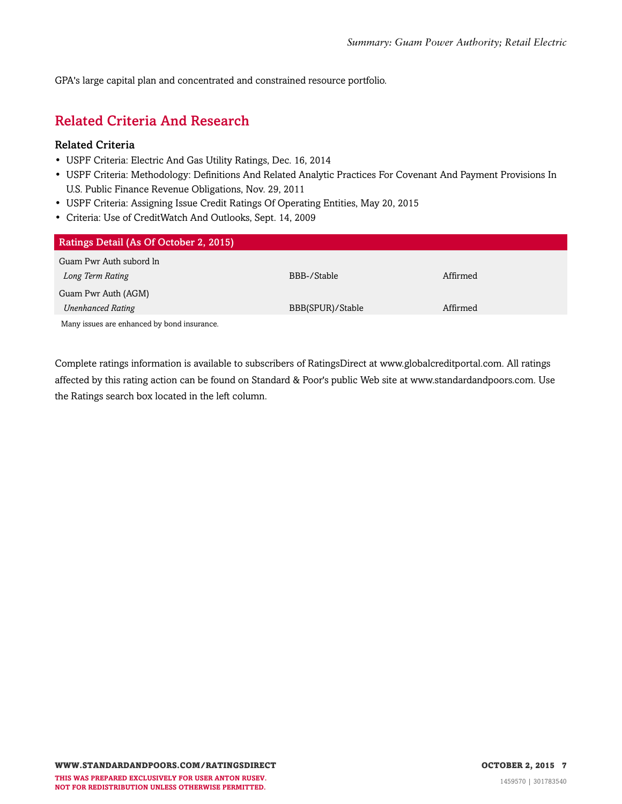<span id="page-6-0"></span>GPA's large capital plan and concentrated and constrained resource portfolio.

### Related Criteria And Research

#### Related Criteria

- USPF Criteria: Electric And Gas Utility Ratings, Dec. 16, 2014
- USPF Criteria: Methodology: Definitions And Related Analytic Practices For Covenant And Payment Provisions In U.S. Public Finance Revenue Obligations, Nov. 29, 2011
- USPF Criteria: Assigning Issue Credit Ratings Of Operating Entities, May 20, 2015
- Criteria: Use of CreditWatch And Outlooks, Sept. 14, 2009

| <b>Ratings Detail (As Of October 2, 2015)</b> |                  |          |
|-----------------------------------------------|------------------|----------|
|                                               |                  |          |
| Guam Pwr Auth subord ln                       |                  |          |
|                                               | BBB-/Stable      | Affirmed |
| Long Term Rating                              |                  |          |
| Guam Pwr Auth (AGM)                           |                  |          |
|                                               |                  |          |
| <b>Unenhanced Rating</b>                      | BBB(SPUR)/Stable | Affirmed |
|                                               |                  |          |
| Many issues are enhanced by bond insurance.   |                  |          |

Complete ratings information is available to subscribers of RatingsDirect at www.globalcreditportal.com. All ratings affected by this rating action can be found on Standard & Poor's public Web site at www.standardandpoors.com. Use the Ratings search box located in the left column.